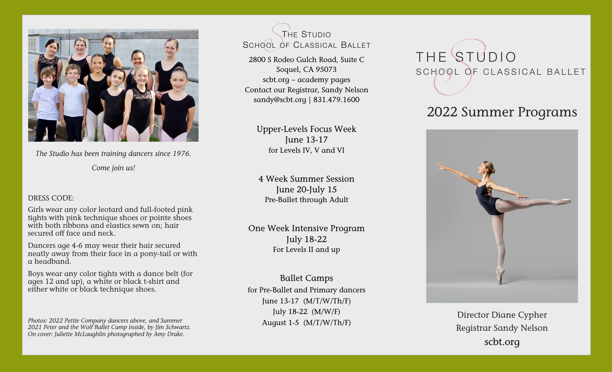

*The Studio has been training dancers since 1976. Come join us!* 

### DRESS CODE:

Girls wear any color leotard and full-footed pink tights with pink technique shoes or pointe shoes with both ribbons and elastics sewn on; hair secured off face and neck.

Dancers age 4-6 may wear their hair secured neatly away from their face in a pony-tail or with a headband.

Boys wear any color tights with a dance belt (for ages 12 and up), a white or black t-shirt and either white or black technique shoes.

*Photos: 2022 Petite Company dancers above, and Summer 2021 Peter and the Wolf Ballet Camp inside, by Jim Schwartz. On cover: Juliette McLaughlin photographed by Amy Drake.*

THE STUDIO SCHOOL OF CLASSICAL BALLET

2800 S Rodeo Gulch Road, Suite C Soquel, CA 95073 [scbt.org](http://www.scbt.org/ballet-academy/) ~ academy pages Contact our Registrar, Sandy Nelson [sandy@scbt.org](mailto:sandy@scbt.org?subject=) **|** 831.479.1600

> Upper-Levels Focus Week June 13-17 for Levels IV, V and VI

4 Week Summer Session June 20-July 15 Pre-Ballet through Adult

One Week Intensive Program July 18-22 For Levels II and up

Ballet Camps for Pre-Ballet and Primary dancers June 13-17 (M/T/W/Th/F) July 18-22 (M/W/F) August 1-5 (M/T/W/Th/F)

# THE STUDIO SCHOOL OF CLASSICAL BALLET

### 2022 Summer Programs



Director Diane Cypher Registrar Sandy Nelson [scbt.org](http://www.scbt.org/ballet-academy/)